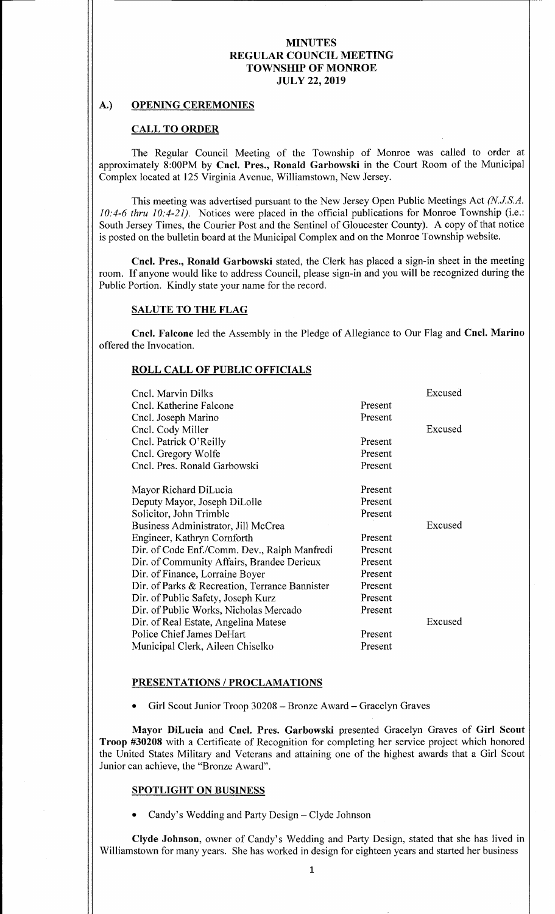## A.) OPENING CEREMONIES

#### CALL TO ORDER

The Regular Council Meeting of the Township of Monroe was called to order at approximately 8:00PM by Cncl. Pres., Ronald Garbowski in the Court Room of the Municipal Complex located at 125 Virginia Avenue, Williamstown, New Jersey.

This meeting was advertised pursuant to the New Jersey Open Public Meetings Act (N.J.S.A. 10:4-6 thru 10:4-21). Notices were placed in the official publications for Monroe Township (i.e.: South Jersey Times, the Courier Post and the Sentinel of Gloucester County). A copy of that notice is posted on the bulletin board at the Municipal Complex and on the Monroe Township website.

Cncl. Pres., Ronald Garbowski stated, the Clerk has placed a sign-in sheet in the meeting room. If anyone would like to address Council, please sign-in and you will be recognized during the Public Portion. Kindly state your name for the record.

# SALUTE TO THE FLAG

Cncl. Falcone led the Assembly in the Pledge of Allegiance to Our Flag and Cncl. Marino offered the Invocation.

#### ROLL CALL OF PUBLIC OFFICIALS

| Cncl. Marvin Dilks                             |         | Excused |
|------------------------------------------------|---------|---------|
| Cncl. Katherine Falcone                        | Present |         |
| Cncl. Joseph Marino                            | Present |         |
| Cncl. Cody Miller                              |         | Excused |
| Cncl. Patrick O'Reilly                         | Present |         |
| Cncl. Gregory Wolfe                            | Present |         |
| Cncl. Pres. Ronald Garbowski                   | Present |         |
| Mayor Richard DiLucia                          | Present |         |
| Deputy Mayor, Joseph DiLolle                   | Present |         |
| Solicitor, John Trimble                        | Present |         |
| Business Administrator, Jill McCrea            |         | Excused |
| Engineer, Kathryn Cornforth                    | Present |         |
| Dir. of Code Enf./Comm. Dev., Ralph Manfredi   | Present |         |
| Dir. of Community Affairs, Brandee Derieux     | Present |         |
| Dir. of Finance, Lorraine Boyer                | Present |         |
| Dir. of Parks & Recreation, Terrance Bannister | Present |         |
| Dir. of Public Safety, Joseph Kurz             | Present |         |
| Dir. of Public Works, Nicholas Mercado         | Present |         |
| Dir. of Real Estate, Angelina Matese           |         | Excused |
| Police Chief James DeHart                      | Present |         |
| Municipal Clerk, Aileen Chiselko               | Present |         |

#### PRESENTATIONS/ PROCLAMATIONS

Girl Scout Junior Troop 30208— Bronze Award— Gracelyn Graves

Mayor DiLucia and Cncl. Pres. Garbowski presented Gracelyn Graves of Girl Scout Troop #30208 with a Certificate of Recognition for completing her service project which honored the United States Military and Veterans and attaining one of the highest awards that <sup>a</sup> Girl Scout Junior can achieve, the "Bronze Award".

#### SPOTLIGHT ON BUSINESS

Candy's Wedding and Party Design - Clyde Johnson

Clyde Johnson, owner of Candy's Wedding and Party Design, stated that she has lived in Williamstown for many years. She has worked in design for eighteen years and started her business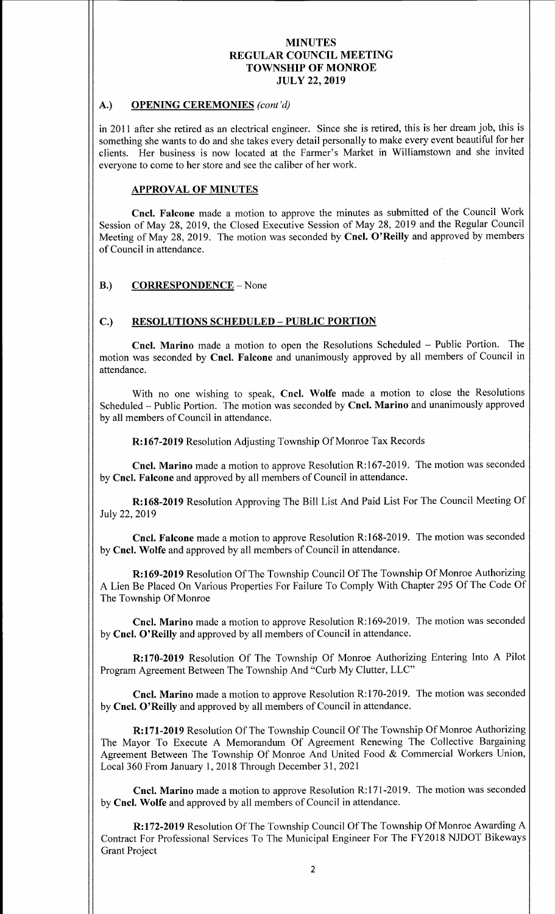# A.) OPENING CEREMONIES (cont'd)

in 2011 after she retired as an electrical engineer. Since she is retired, this is her dream job, this is something she wants to do and she takes every detail personally to make every event beautiful for her clients. Her business is now located at the Farmer's Market in Williamstown and she invited everyone to come to her store and see the caliber of her work.

# APPROVAL OF MINUTES

Cncl. Falcone made <sup>a</sup> motion to approve the minutes as submitted of the Council Work Session of May 28, 2019, the Closed Executive Session of May 28, 2019 and the Regular Council Meeting of May 28, 2019. The motion was seconded by Cncl. O'Reilly and approved by members of Council in attendance.

# B.) CORRESPONDENCE – None

# C.) RESOLUTIONS SCHEDULED— PUBLIC PORTION

Cncl. Marino made <sup>a</sup> motion to open the Resolutions Scheduled — Public Portion. The motion was seconded by Cncl. Falcone and unanimously approved by all members of Council in attendance.

With no one wishing to speak, Cncl. Wolfe made a motion to close the Resolutions Scheduled— Public Portion. The motion was seconded by Cncl. Marino and unanimously approved by all members of Council in attendance.

R:167-2019 Resolution Adjusting Township Of Monroe Tax Records

Cncl. Marino made a motion to approve Resolution R:167-2019. The motion was seconded by Cncl. Falcone and approved by all members of Council in attendance.

R: 168-2019 Resolution Approving The Bill List And Paid List For The Council Meeting Of July 22, 2019

Cncl. Falcone made a motion to approve Resolution R:168-2019. The motion was seconded by Cncl. Wolfe and approved by all members of Council in attendance.

R: 169-2019 Resolution Of The Township Council Of The Township Of Monroe Authorizing A Lien Be Placed On Various Properties For Failure To Comply With Chapter 295 Of The Code Of The Township Of Monroe

Cncl. Marino made a motion to approve Resolution R:169-2019. The motion was seconded by Cncl. O' Reilly and approved by all members of Council in attendance.

R:170-2019 Resolution Of The Township Of Monroe Authorizing Entering Into A Pilot Program Agreement Between The Township And "Curb My Clutter, LLC"

Cncl. Marino made a motion to approve Resolution R:170-2019. The motion was seconded by Cncl. O'Reilly and approved by all members of Council in attendance.

R:171-2019 Resolution Of The Township Council Of The Township Of Monroe Authorizing The Mayor To Execute A Memorandum Of Agreement Renewing The Collective Bargaining Agreement Between The Township Of Monroe And United Food & Commercial Workers Union, Local 360 From January 1, 2018 Through December 31, 2021

Cncl. Marino made a motion to approve Resolution R:171-2019. The motion was seconded by Cncl. Wolfe and approved by all members of Council in attendance.

R:172-2019 Resolution Of The Township Council Of The Township Of Monroe Awarding A Contract For Professional Services To The Municipal Engineer For The FY2018 NJDOT Bikeways Grant Project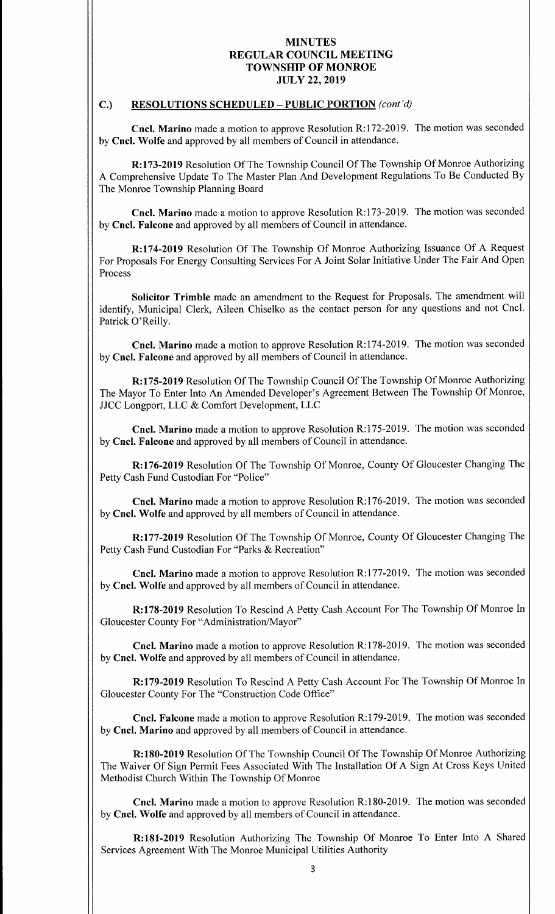# C.) RESOLUTIONS SCHEDULED - PUBLIC PORTION (cont'd)

Cncl. Marino made a motion to approve Resolution R:172-2019. The motion was seconded by Cncl. Wolfe and approved by all members of Council in attendance.

R: 173-2019 Resolution Of The Township Council Of The Township Of Monroe Authorizing A Comprehensive Update To The Master Plan And Development Regulations To Be Conducted By The Monroe Township Planning Board

Cncl. Marino made a motion to approve Resolution R:173-2019. The motion was seconded by Cncl. Falcone and approved by all members of Council in attendance.

R: 174-2019 Resolution Of The Township Of Monroe Authorizing Issuance Of A Request For Proposals For Energy Consulting Services For A Joint Solar Initiative Under The Fair And Open Process

Solicitor Trimble made an amendment to the Request for Proposals. The amendment will identify, Municipal Clerk, Aileen Chiselko as the contact person for any questions and not Cncl. Patrick O'Reilly.

Cncl. Marino made a motion to approve Resolution R:174-2019. The motion was seconded by Cncl. Falcone and approved by all members of Council in attendance.

R: 175-2019 Resolution Of The Township Council Of The Township Of Monroe Authorizing The Mayor To Enter Into An Amended Developer's Agreement Between The Township Of Monroe, JJCC Longport, LLC & Comfort Development, LLC

Cncl. Marino made a motion to approve Resolution R:175-2019. The motion was seconded by Cncl. Falcone and approved by all members of Council in attendance.

R: 176-2019 Resolution Of The Township Of Monroe, County Of Gloucester Changing The Petty Cash Fund Custodian For "Police"

Cncl. Marino made a motion to approve Resolution R:176-2019. The motion was seconded by Cncl. Wolfe and approved by all members of Council in attendance.

R: 177- 2019 Resolution Of The Township Of Monroe, County Of Gloucester Changing The Petty Cash Fund Custodian For "Parks & Recreation"

Cncl. Marino made a motion to approve Resolution R:177-2019. The motion was seconded by Cncl. Wolfe and approved by all members of Council in attendance.

R: 178-2019 Resolution To Rescind A Petty Cash Account For The Township Of Monroe In Gloucester County For "Administration/Mayor"

Cncl. Marino made a motion to approve Resolution R:178-2019. The motion was seconded by Cncl. Wolfe and approved by all members of Council in attendance.

R: 179-2019 Resolution To Rescind A Petty Cash Account For The Township Of Monroe In Gloucester County For The "Construction Code Office"

Cncl. Falcone made a motion to approve Resolution R:179-2019. The motion was seconded by Cncl. Marino and approved by all members of Council in attendance.

R: 180-2019 Resolution Of The Township Council Of The Township Of Monroe Authorizing The Waiver Of Sign Permit Fees Associated With The Installation Of A Sign At Cross Keys United Methodist Church Within The Township Of Monroe

Cncl. Marino made a motion to approve Resolution R:180-2019. The motion was seconded by Cncl. Wolfe and approved by all members of Council in attendance.

R:181-2019 Resolution Authorizing The Township Of Monroe To Enter Into A Shared Services Agreement With The Monroe Municipal Utilities Authority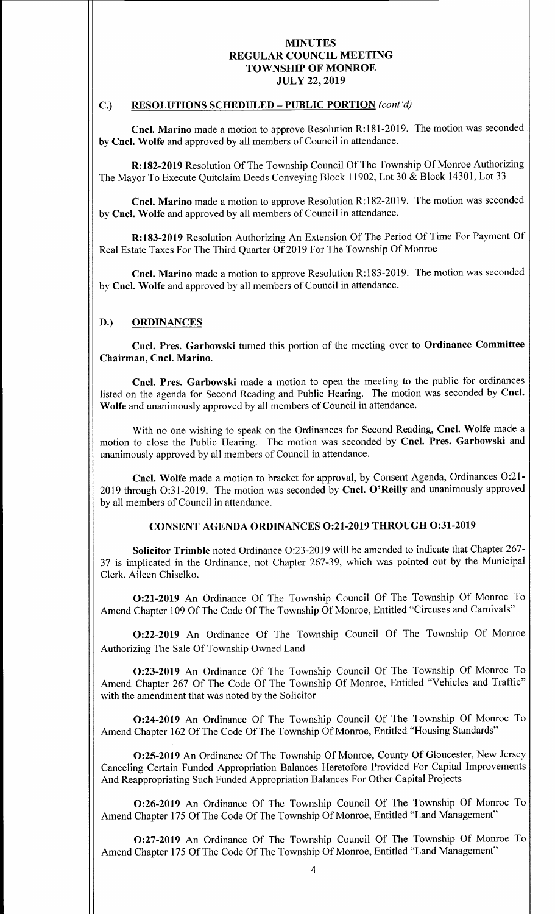# C.) RESOLUTIONS SCHEDULED - PUBLIC PORTION (cont'd)

Cncl. Marino made a motion to approve Resolution R:181-2019. The motion was seconded by Cncl. Wolfe and approved by all members of Council in attendance.

R:182-2019 Resolution Of The Township Council Of The Township Of Monroe Authorizing The Mayor To Execute Quitclaim Deeds Conveying Block 11902, Lot 30 & Block 14301, Lot <sup>33</sup>

Cncl. Marino made a motion to approve Resolution R:182-2019. The motion was seconded by Cncl. Wolfe and approved by all members of Council in attendance.

R:183-2019 Resolution Authorizing An Extension Of The Period Of Time For Payment Of Real Estate Taxes For The Third Quarter Of 2019 For The Township Of Monroe

Cncl. Marino made a motion to approve Resolution R:183-2019. The motion was seconded by Cncl. Wolfe and approved by all members of Council in attendance.

### D.) ORDINANCES

Cncl. Pres. Garbowski turned this portion of the meeting over to Ordinance Committee Chairman, Cncl. Marino.

Cncl. Pres. Garbowski made a motion to open the meeting to the public for ordinances listed on the agenda for Second Reading and Public Hearing. The motion was seconded by Cncl. Wolfe and unanimously approved by all members of Council in attendance.

With no one wishing to speak on the Ordinances for Second Reading, Cncl. Wolfe made a motion to close the Public Hearing. The motion was seconded by Cncl. Pres. Garbowski and unanimously approved by all members of Council in attendance.

Cncl. Wolfe made <sup>a</sup> motion to bracket for approval, by Consent Agenda, Ordinances 0:21- 2019 through O:31-2019. The motion was seconded by Cncl. O'Reilly and unanimously approved by all members of Council in attendance.

### CONSENT AGENDA ORDINANCES 0:21-2019 THROUGH 0:31-2019

Solicitor Trimble noted Ordinance O:23-2019 will be amended to indicate that Chapter 267-37 is implicated in the Ordinance, not Chapter 267-39, which was pointed out by the Municipal Clerk, Aileen Chiselko.

0:21- 2019 An Ordinance Of The Township Council Of The Township Of Monroe To Amend Chapter 109 Of The Code Of The Township Of Monroe, Entitled "Circuses and Carnivals"

0:22- 2019 An Ordinance Of The Township Council Of The Township Of Monroe Authorizing The Sale Of Township Owned Land

0:23- 2019 An Ordinance Of The Township Council Of The Township Of Monroe To Amend Chapter 267 Of The Code Of The Township Of Monroe, Entitled "Vehicles and Traffic" with the amendment that was noted by the Solicitor

0:24- <sup>2019</sup> An Ordinance Of The Township Council Of The Township Of Monroe To Amend Chapter 162 Of The Code Of The Township Of Monroe, Entitled "Housing Standards"

0: 25- <sup>2019</sup> An Ordinance Of The Township Of Monroe, County Of Gloucester, New Jersey Canceling Certain Funded Appropriation Balances Heretofore Provided For Capital Improvements And Reappropriating Such Funded Appropriation Balances For Other Capital Projects

0:26- <sup>2019</sup> An Ordinance Of The Township Council Of The Township Of Monroe To Amend Chapter 175 Of The Code Of The Township Of Monroe, Entitled "Land Management"

0:27- 2019 An Ordinance Of The Township Council Of The Township Of Monroe To Amend Chapter 175 Of The Code Of The Township Of Monroe, Entitled "Land Management"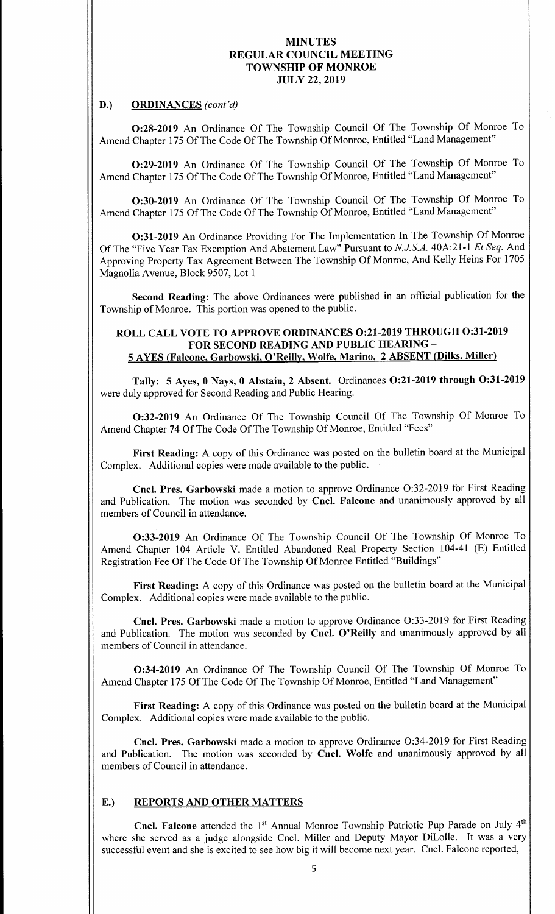#### D.) ORDINANCES (cont'd)

0:28-2019 An Ordinance Of The Township Council Of The Township Of Monroe To Amend Chapter 175 Of The Code Of The Township Of Monroe, Entitled "Land Management"

0:29-2019 An Ordinance Of The Township Council Of The Township Of Monroe To Amend Chapter 175 Of The Code Of The Township Of Monroe, Entitled "Land Management"

0:30-2019 An Ordinance Of The Township Council Of The Township Of Monroe To Amend Chapter 175 Of The Code Of The Township Of Monroe, Entitled "Land Management"

0:31- 2019 An Ordinance Providing For The Implementation In The Township Of Monroe Of The "Five Year Tax Exemption And Abatement Law" Pursuant to N.J.S.A. 40A:21-1 Et Seq. And Approving Property Tax Agreement Between The Township Of Monroe, And Kelly Heins For 1705 Magnolia Avenue, Block 9507, Lot <sup>1</sup>

Second Reading: The above Ordinances were published in an official publication for the Township of Monroe. This portion was opened to the public.

# ROLL CALL VOTE TO APPROVE ORDINANCES 0:21-2019 THROUGH 0:31-2019 FOR SECOND READING AND PUBLIC HEARING— 5 AYES ( Falcone, Garbowski, O' Reilly, Wolfe, Marino, 2 ABSENT ( Dilks, Miller)

Tally: 5 Ayes, 0 Nays, 0 Abstain, 2 Absent. Ordinances O:21-2019 through O:31-2019 were duly approved for Second Reading and Public Hearing.

0:32- 2019 An Ordinance Of The Township Council Of The Township Of Monroe To Amend Chapter 74 Of The Code Of The Township Of Monroe, Entitled "Fees"

First Reading: A copy of this Ordinance was posted on the bulletin board at the Municipal Complex. Additional copies were made available to the public.

Cncl. Pres. Garbowski made <sup>a</sup> motion to approve Ordinance 0:32-2019 for First Reading and Publication. The motion was seconded by Cncl. Falcone and unanimously approved by all members of Council in attendance.

0:33- <sup>2019</sup> An Ordinance Of The Township Council Of The Township Of Monroe To Amend Chapter 104 Article V. Entitled Abandoned Real Property Section 104-41 (E) Entitled Registration Fee Of The Code Of The Township Of Monroe Entitled "Buildings"

First Reading: A copy of this Ordinance was posted on the bulletin board at the Municipal Complex. Additional copies were made available to the public.

Cncl. Pres. Garbowski made a motion to approve Ordinance O:33-2019 for First Reading and Publication. The motion was seconded by Cncl. O'Reilly and unanimously approved by all members of Council in attendance.

0:34- 2019 An Ordinance Of The Township Council Of The Township Of Monroe To Amend Chapter 175 Of The Code Of The Township Of Monroe, Entitled "Land Management"

First Reading: A copy of this Ordinance was posted on the bulletin board at the Municipal Complex. Additional copies were made available to the public.

Cncl. Pres. Garbowski made a motion to approve Ordinance O:34-2019 for First Reading and Publication. The motion was seconded by Cncl. Wolfe and unanimously approved by all members of Council in attendance.

#### E.) REPORTS AND OTHER MATTERS

**Cncl. Falcone** attended the 1<sup>st</sup> Annual Monroe Township Patriotic Pup Parade on July  $4<sup>th</sup>$ where she served as <sup>a</sup> judge alongside Cncl. Miller and Deputy Mayor DiLolle. It was <sup>a</sup> very successful event and she is excited to see how big it will become next year. Cncl. Falcone reported,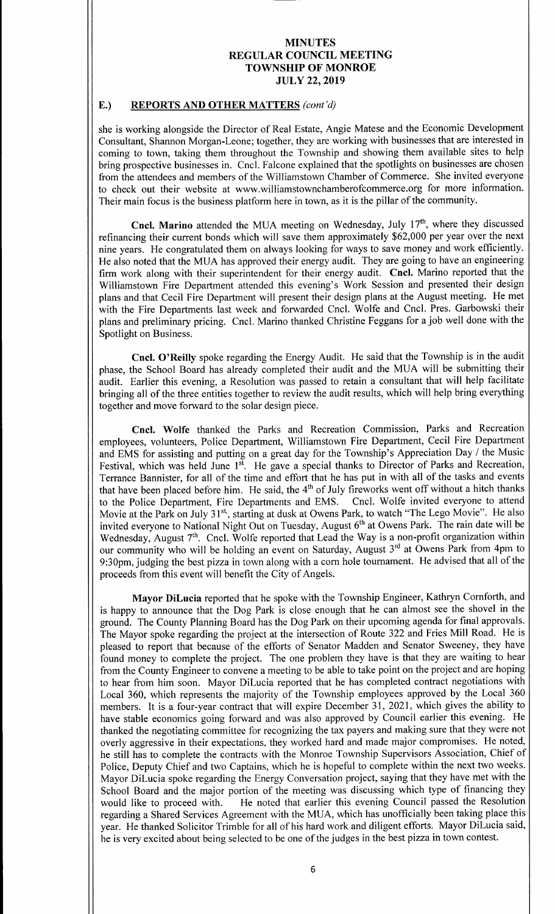# E.) REPORTS AND OTHER MATTERS (cont'd)

she is working alongside the Director of Real Estate, Angie Matese and the Economic Development Consultant, Shannon Morgan-Leone; together, they are working with businesses that are interested in coming to town, taking them throughout the Township and showing them available sites to help bring prospective businesses in. Cncl. Falcone explained that the spotlights on businesses are chosen from the attendees and members of the Williamstown Chamber of Commerce. She invited everyone to check out their website at www.williamstownchamberofcommerce. org for more information. Their main focus is the business platform here in town, as it is the pillar of the community.

Cncl. Marino attended the MUA meeting on Wednesday, July  $17<sup>th</sup>$ , where they discussed refinancing their current bonds which will save them approximately \$62,000 per year over the next nine years. He congratulated them on always looking for ways to save money and work efficiently. He also noted that the MUA has approved their energy audit. They are going to have an engineering firm work along with their superintendent for their energy audit. Cncl. Marino reported that the Williamstown Fire Department attended this evening's Work Session and presented their design plans and that Cecil Fire Department will present their design plans at the August meeting. He met with the Fire Departments last week and forwarded Cncl. Wolfe and Cncl. Pres. Garbowski their plans and preliminary pricing. Cncl. Marino thanked Christine Feggans for a job well done with the Spotlight on Business.

Cncl. O'Reilly spoke regarding the Energy Audit. He said that the Township is in the audit phase, the School Board has already completed their audit and the MUA will be submitting their audit. Earlier this evening, a Resolution was passed to retain <sup>a</sup> consultant that will help facilitate bringing all of the three entities together to review the audit results, which will help bring everything together and move forward to the solar design piece.

Cncl. Wolfe thanked the Parks and Recreation Commission, Parks and Recreation employees, volunteers, Police Department, Williamstown Fire Department, Cecil Fire Department and EMS for assisting and putting on a great day for the Township's Appreciation Day / the Music Festival, which was held June 1<sup>st</sup>. He gave a special thanks to Director of Parks and Recreation, Terrance Bannister, for all of the time and effort that he has put in with all of the tasks and events that have been placed before him. He said, the  $4<sup>th</sup>$  of July fireworks went off without a hitch thanks to the Police Department, Fire Departments and EMS. Cncl. Wolfe invited everyone to attend to the Police Department, Fire Departments and EMS. Movie at the Park on July 31<sup>st</sup>, starting at dusk at Owens Park, to watch "The Lego Movie". He also invited everyone to National Night Out on Tuesday, August 6<sup>th</sup> at Owens Park. The rain date will be Wednesday, August  $7<sup>th</sup>$ . Cncl. Wolfe reported that Lead the Way is a non-profit organization within our community who will be holding an event on Saturday, August 3<sup>rd</sup> at Owens Park from 4pm to 9: 30pm, judging the best pizza in town along with <sup>a</sup> corn hole tournament. He advised that all of the proceeds from this event will benefit the City of Angels.

Mayor DiLucia reported that he spoke with the Township Engineer, Kathryn Comforth, and is happy to announce that the Dog Park is close enough that he can almost see the shovel in the ground. The County Planning Board has the Dog Park on their upcoming agenda for final approvals. The Mayor spoke regarding the project at the intersection of Route <sup>322</sup> and Fries Mill Road. He is pleased to report that because of the efforts of Senator Madden and Senator Sweeney, they have found money to complete the project. The one problem they have is that they are waiting to hear from the County Engineer to convene a meeting to be able to take point on the project and are hoping to hear from him soon. Mayor DiLucia reported that he has completed contract negotiations with Local 360, which represents the majority of the Township employees approved by the Local 360 members. It is a four-year contract that will expire December 31, 2021, which gives the ability to have stable economics going forward and was also approved by Council earlier this evening. He thanked the negotiating committee for recognizing the tax payers and making sure that they were not overly aggressive in their expectations, they worked hard and made major compromises. He noted, he still has to complete the contracts with the Monroe Township Supervisors Association, Chief of Police, Deputy Chief and two Captains, which he is hopeful to complete within the next two weeks. Mayor DiLucia spoke regarding the Energy Conversation project, saying that they have met with the School Board and the major portion of the meeting was discussing which type of financing they would like to proceed with. He noted that earlier this evening Council passed the Resolution He noted that earlier this evening Council passed the Resolution regarding <sup>a</sup> Shared Services Agreement with the MUA, which has unofficially been taking place this year. He thanked Solicitor Trimble for all of his hard work and diligent efforts. Mayor DiLucia said, he is very excited about being selected to be one of the judges in the best pizza in town contest.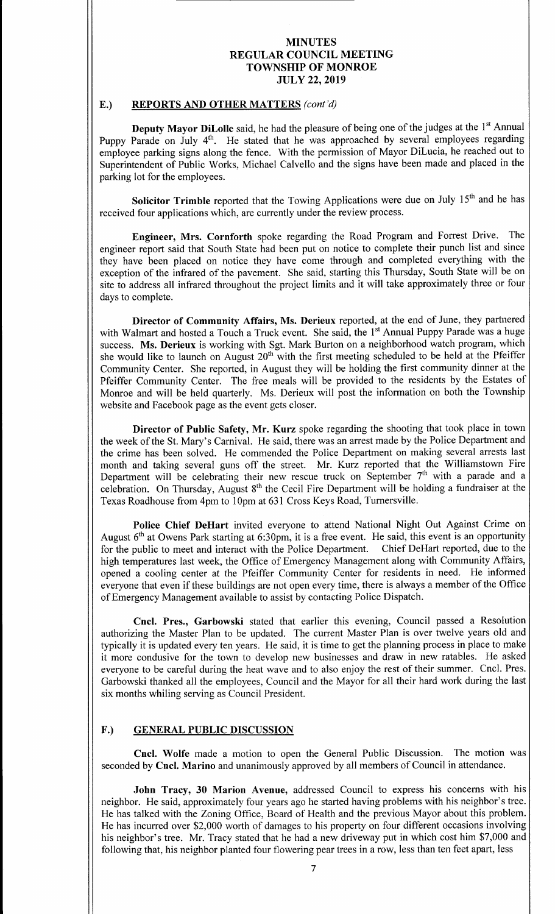# E.) REPORTS AND OTHER MATTERS (cont'd)

**Deputy Mayor DiLolle** said, he had the pleasure of being one of the judges at the  $1<sup>st</sup>$  Annual Puppy Parade on July 4<sup>th</sup>. He stated that he was approached by several employees regarding employee parking signs along the fence. With the permission of Mayor DiLucia, he reached out to Superintendent of Public Works, Michael Calvello and the signs have been made and placed in the parking lot for the employees.

Solicitor Trimble reported that the Towing Applications were due on July  $15<sup>th</sup>$  and he has received four applications which, are currently under the review process.

Engineer, Mrs. Cornforth spoke regarding the Road Program and Forrest Drive. The engineer report said that South State had been put on notice to complete their punch list and since they have been placed on notice they have come through and completed everything with the exception of the infrared of the pavement. She said, starting this Thursday, South State will be on site to address all infrared throughout the project limits and it will take approximately three or four days to complete.

Director of Community Affairs, Ms. Derieux reported, at the end of June, they partnered with Walmart and hosted a Touch a Truck event. She said, the 1<sup>st</sup> Annual Puppy Parade was a huge success. Ms. Derieux is working with Sgt. Mark Burton on <sup>a</sup> neighborhood watch program, which she would like to launch on August  $20<sup>th</sup>$  with the first meeting scheduled to be held at the Pfeiffer Community Center. She reported, in August they will be holding the first community dinner at the Pfeiffer Community Center. The free meals will be provided to the residents by the Estates of Monroe and will be held quarterly. Ms. Derieux will post the information on both the Township website and Facebook page as the event gets closer.

Director of Public Safety, Mr. Kurz spoke regarding the shooting that took place in town the week of the St. Mary's Carnival. He said, there was an arrest made by the Police Department and the crime has been solved. He commended the Police Department on making several arrests last month and taking several guns off the street. Mr. Kurz reported that the Williamstown Fire Department will be celebrating their new rescue truck on September 7<sup>th</sup> with a parade and a celebration. On Thursday, August  $8<sup>th</sup>$  the Cecil Fire Department will be holding a fundraiser at the Texas Roadhouse from 4pm to l Opm at 631 Cross Keys Road, Turnersville.

Police Chief DeHart invited everyone to attend National Night Out Against Crime on August  $6<sup>th</sup>$  at Owens Park starting at 6:30pm, it is a free event. He said, this event is an opportunity for the public to meet and interact with the Police Department. Chief DeHart reported, due to the high temperatures last week, the Office of Emergency Management along with Community Affairs, opened a cooling center at the Pfeiffer Community Center for residents in need. He informed everyone that even if these buildings are not open every time, there is always <sup>a</sup> member of the Office of Emergency Management available to assist by contacting Police Dispatch.

Cncl. Pres., Garbowski stated that earlier this evening, Council passed <sup>a</sup> Resolution authorizing the Master Plan to be updated. The current Master Plan is over twelve years old and typically it is updated every ten years. He said, it is time to get the planning process in place to make it more condusive for the town to develop new businesses and draw in new ratables. He asked everyone to be careful during the heat wave and to also enjoy the rest of their summer. Cncl. Pres. Garbowski thanked all the employees, Council and the Mayor for all their hard work during the last six months whiling serving as Council President.

# F.) GENERAL PUBLIC DISCUSSION

Cncl. Wolfe made <sup>a</sup> motion to open the General Public Discussion. The motion was seconded by Cncl. Marino and unanimously approved by all members of Council in attendance.

John Tracy, 30 Marion Avenue, addressed Council to express his concerns with his neighbor. He said, approximately four years ago he started having problems with his neighbor's tree. He has talked with the Zoning Office, Board of Health and the previous Mayor about this problem. He has incurred over \$2,000 worth of damages to his property on four different occasions involving his neighbor's tree. Mr. Tracy stated that he had a new driveway put in which cost him \$7,000 and following that, his neighbor planted four flowering pear trees in a row, less than ten feet apart, less